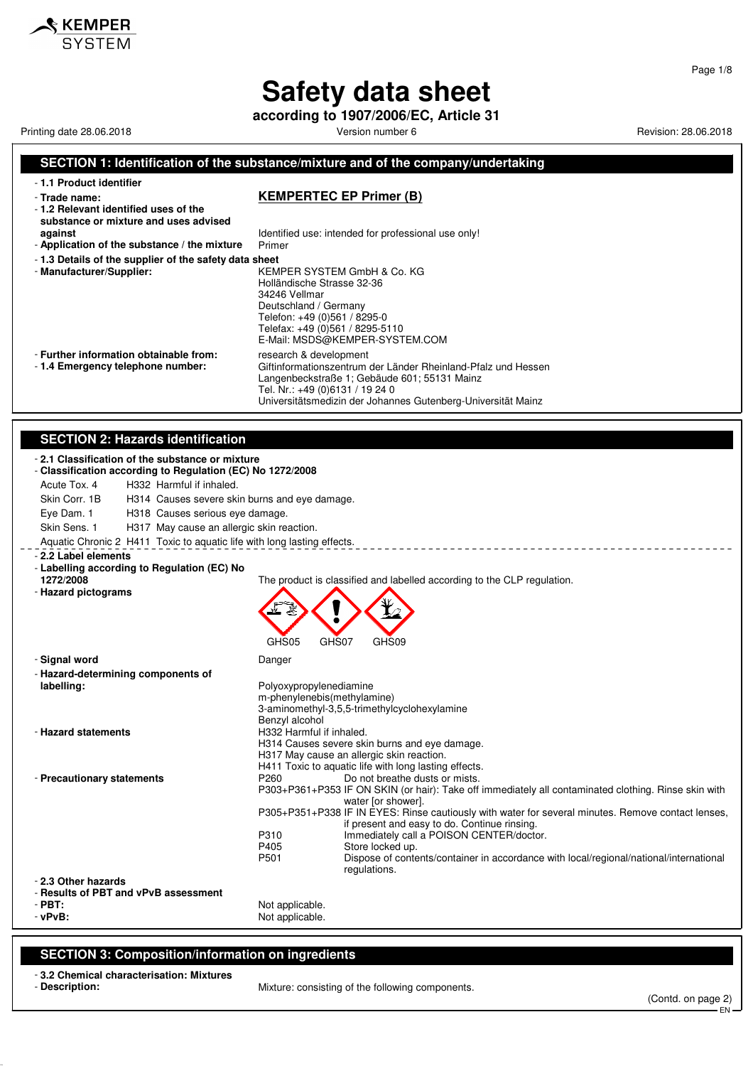**according to 1907/2006/EC, Article 31**

Printing date 28.06.2018 **Printing date 28.06.2018** Version number 6 **Revision: 28.06.2018** Revision: 28.06.2018

#### **SECTION 1: Identification of the substance/mixture and of the company/undertaking** - **1.1 Product identifier** - **Trade name: KEMPERTEC EP Primer (B)** - **1.2 Relevant identified uses of the**

**substance or mixture and uses advised**

- Application of the substance / the mixture
- **1.3 Details of the supplier of the safety data sheet**
- 

**against against Identified use: intended for professional use only!**<br>**Application of the substance / the mixture** Primer

Langenbeckstraße 1; Gebäude 601; 55131 Mainz

Tel. Nr.: +49 (0)6131 / 19 24 0

Giftinformationszentrum der Länder Rheinland-Pfalz und Hessen

Universitätsmedizin der Johannes Gutenberg-Universität Mainz

- **Manufacturer/Supplier:** KEMPER SYSTEM GmbH & Co. KG Holländische Strasse 32-36 34246 Vellmar Deutschland / Germany Telefon: +49 (0)561 / 8295-0 Telefax: +49 (0)561 / 8295-5110 E-Mail: MSDS@KEMPER-SYSTEM.COM - **Further information obtainable from:** research & development - 1.4 **Emergency telephone number:** Giftinformationszentrum
- -

#### **SECTION 2: Hazards identification**

| - 2.1 Classification of the substance or mixture<br>- Classification according to Regulation (EC) No 1272/2008 |                                                                                                                                                |
|----------------------------------------------------------------------------------------------------------------|------------------------------------------------------------------------------------------------------------------------------------------------|
| Acute Tox. 4<br>H332 Harmful if inhaled.                                                                       |                                                                                                                                                |
| Skin Corr. 1B<br>H314 Causes severe skin burns and eye damage.                                                 |                                                                                                                                                |
| Eye Dam. 1<br>H318 Causes serious eye damage.                                                                  |                                                                                                                                                |
| Skin Sens. 1<br>H317 May cause an allergic skin reaction.                                                      |                                                                                                                                                |
|                                                                                                                |                                                                                                                                                |
| Aquatic Chronic 2 H411 Toxic to aquatic life with long lasting effects.                                        |                                                                                                                                                |
| - 2.2 Label elements<br>- Labelling according to Regulation (EC) No                                            |                                                                                                                                                |
| 1272/2008                                                                                                      | The product is classified and labelled according to the CLP regulation.                                                                        |
| - Hazard pictograms                                                                                            |                                                                                                                                                |
|                                                                                                                |                                                                                                                                                |
|                                                                                                                |                                                                                                                                                |
|                                                                                                                |                                                                                                                                                |
|                                                                                                                | GHS05<br>GHS07<br>GHS09                                                                                                                        |
| - Signal word                                                                                                  | Danger                                                                                                                                         |
| - Hazard-determining components of                                                                             |                                                                                                                                                |
| labelling:                                                                                                     | Polyoxypropylenediamine                                                                                                                        |
|                                                                                                                | m-phenylenebis(methylamine)                                                                                                                    |
|                                                                                                                | 3-aminomethyl-3,5,5-trimethylcyclohexylamine<br>Benzyl alcohol                                                                                 |
| - Hazard statements                                                                                            | H332 Harmful if inhaled.                                                                                                                       |
|                                                                                                                | H314 Causes severe skin burns and eye damage.                                                                                                  |
|                                                                                                                | H317 May cause an allergic skin reaction.                                                                                                      |
|                                                                                                                | H411 Toxic to aquatic life with long lasting effects.                                                                                          |
| - Precautionary statements                                                                                     | P260<br>Do not breathe dusts or mists.<br>P303+P361+P353 IF ON SKIN (or hair): Take off immediately all contaminated clothing. Rinse skin with |
|                                                                                                                | water [or shower].                                                                                                                             |
|                                                                                                                | P305+P351+P338 IF IN EYES: Rinse cautiously with water for several minutes. Remove contact lenses,                                             |
|                                                                                                                | if present and easy to do. Continue rinsing.                                                                                                   |
|                                                                                                                | Immediately call a POISON CENTER/doctor.<br>P310                                                                                               |
|                                                                                                                | P405<br>Store locked up.<br>P501                                                                                                               |
|                                                                                                                | Dispose of contents/container in accordance with local/regional/national/international<br>regulations.                                         |
| - 2.3 Other hazards                                                                                            |                                                                                                                                                |
| - Results of PBT and vPvB assessment                                                                           |                                                                                                                                                |
| $-$ PBT:                                                                                                       | Not applicable.                                                                                                                                |
| $-vPvB$ :                                                                                                      | Not applicable.                                                                                                                                |
|                                                                                                                |                                                                                                                                                |

#### **SECTION 3: Composition/information on ingredients**

- **3.2 Chemical characterisation: Mixtures**

- **Description:** Mixture: consisting of the following components.

Page 1/8

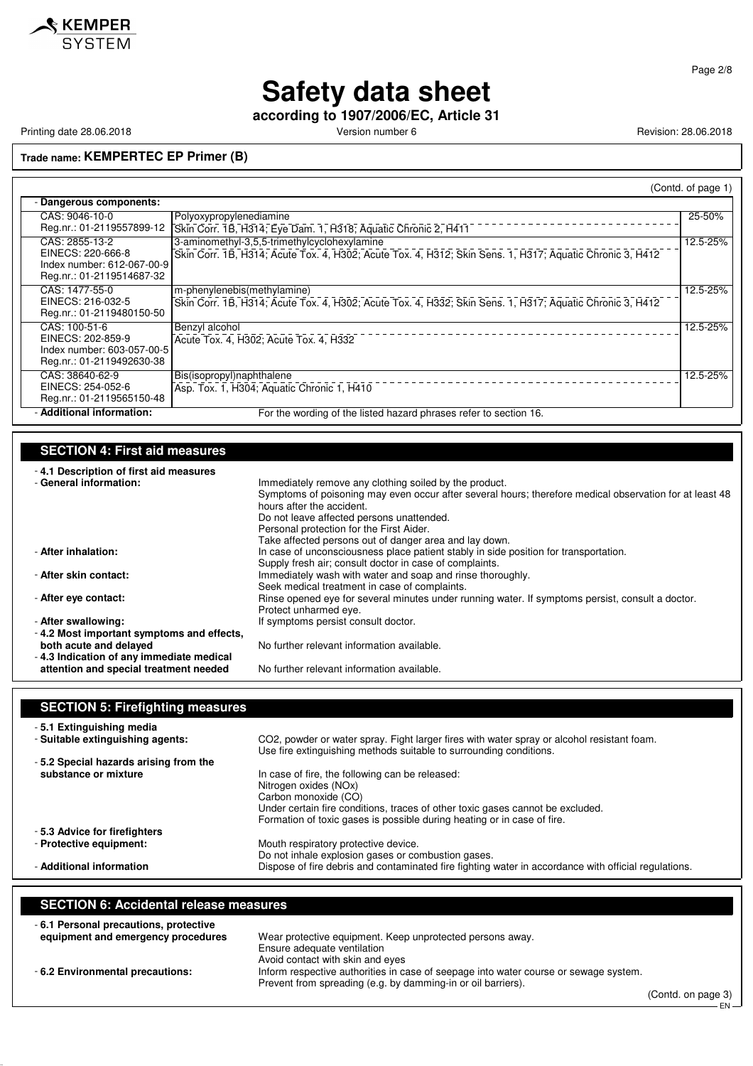

**according to 1907/2006/EC, Article 31**

Printing date 28.06.2018 **Printing date 28.06.2018** Version number 6 **Revision: 28.06.2018** Revision: 28.06.2018

#### **Trade name: KEMPERTEC EP Primer (B)**

|                                                                                                |                                                                                                                                                          | (Contd. of page 1) |
|------------------------------------------------------------------------------------------------|----------------------------------------------------------------------------------------------------------------------------------------------------------|--------------------|
| Dangerous components:                                                                          |                                                                                                                                                          |                    |
| CAS: 9046-10-0<br>Reg.nr.: 01-2119557899-12                                                    | Polyoxypropylenediamine<br>Skin Corr. 1B, H314; Eye Dam. 1, H318; Aquatic Chronic 2, H411                                                                | 25-50%             |
| CAS: 2855-13-2<br>EINECS: 220-666-8<br>Index number: 612-067-00-9<br>Reg.nr.: 01-2119514687-32 | 3-aminomethyl-3,5,5-trimethylcyclohexylamine<br>Skin Corr. 1B, H314; Acute Tox. 4, H302; Acute Tox. 4, H312; Skin Sens. 1, H317; Aquatic Chronic 3, H412 | 12.5-25%           |
| CAS: 1477-55-0<br>EINECS: 216-032-5<br>Reg.nr.: 01-2119480150-50                               | m-phenylenebis(methylamine)<br>Skin Corr. 1B, H314; Acute Tox. 4, H302; Acute Tox. 4, H332; Skin Sens. 1, H317; Aquatic Chronic 3, H412                  | 12.5-25%           |
| CAS: 100-51-6<br>EINECS: 202-859-9<br>Index number: 603-057-00-5<br>Reg.nr.: 01-2119492630-38  | Benzyl alcohol<br>Acute Tox. 4, H302; Acute Tox. 4, H332                                                                                                 | 12.5-25%           |
| CAS: 38640-62-9<br>EINECS: 254-052-6<br>Reg.nr.: 01-2119565150-48                              | Bis(isopropyl)naphthalene<br>Asp. Tox. 1, H304; Aquatic Chronic 1, H410                                                                                  | 12.5-25%           |
| - Additional information:                                                                      | For the wording of the listed hazard phrases refer to section 16.                                                                                        |                    |

#### **SECTION 4: First aid measures**

| -4.1 Description of first aid measures<br>- General information: | Immediately remove any clothing soiled by the product.<br>Symptoms of poisoning may even occur after several hours; therefore medical observation for at least 48<br>hours after the accident. |
|------------------------------------------------------------------|------------------------------------------------------------------------------------------------------------------------------------------------------------------------------------------------|
|                                                                  | Do not leave affected persons unattended.                                                                                                                                                      |
|                                                                  | Personal protection for the First Aider.                                                                                                                                                       |
| - After inhalation:                                              | Take affected persons out of danger area and lay down.<br>In case of unconsciousness place patient stably in side position for transportation.                                                 |
|                                                                  | Supply fresh air; consult doctor in case of complaints.                                                                                                                                        |
| - After skin contact:                                            | Immediately wash with water and soap and rinse thoroughly.                                                                                                                                     |
|                                                                  | Seek medical treatment in case of complaints.                                                                                                                                                  |
| - After eye contact:                                             | Rinse opened eye for several minutes under running water. If symptoms persist, consult a doctor.                                                                                               |
|                                                                  | Protect unharmed eye.                                                                                                                                                                          |
| - After swallowing:                                              | If symptoms persist consult doctor.                                                                                                                                                            |
| -4.2 Most important symptoms and effects,                        |                                                                                                                                                                                                |
| both acute and delayed                                           | No further relevant information available.                                                                                                                                                     |
| -4.3 Indication of any immediate medical                         |                                                                                                                                                                                                |
| attention and special treatment needed                           | No further relevant information available.                                                                                                                                                     |

### **SECTION 5: Firefighting measures**

| -5.1 Extinguishing media              |                                                                                                                                                                  |
|---------------------------------------|------------------------------------------------------------------------------------------------------------------------------------------------------------------|
| - Suitable extinguishing agents:      | CO2, powder or water spray. Fight larger fires with water spray or alcohol resistant foam.<br>Use fire extinguishing methods suitable to surrounding conditions. |
| -5.2 Special hazards arising from the |                                                                                                                                                                  |
| substance or mixture                  | In case of fire, the following can be released:                                                                                                                  |
|                                       | Nitrogen oxides (NOx)                                                                                                                                            |
|                                       | Carbon monoxide (CO)                                                                                                                                             |
|                                       | Under certain fire conditions, traces of other toxic gases cannot be excluded.                                                                                   |
|                                       | Formation of toxic gases is possible during heating or in case of fire.                                                                                          |
| -5.3 Advice for firefighters          |                                                                                                                                                                  |
| - Protective equipment:               | Mouth respiratory protective device.                                                                                                                             |
|                                       | Do not inhale explosion gases or combustion gases.                                                                                                               |
| - Additional information              | Dispose of fire debris and contaminated fire fighting water in accordance with official regulations.                                                             |

#### **SECTION 6: Accidental release measures**

| -6.1 Personal precautions, protective<br>equipment and emergency procedures | Wear protective equipment. Keep unprotected persons away.                            |        |  |               |
|-----------------------------------------------------------------------------|--------------------------------------------------------------------------------------|--------|--|---------------|
|                                                                             | Ensure adequate ventilation                                                          |        |  |               |
|                                                                             | Avoid contact with skin and eyes                                                     |        |  |               |
| - 6.2 Environmental precautions:                                            | Inform respective authorities in case of seepage into water course or sewage system. |        |  |               |
|                                                                             | Prevent from spreading (e.g. by damming-in or oil barriers).                         |        |  |               |
|                                                                             |                                                                                      | $\sim$ |  | $\sim$ $\sim$ |

(Contd. on page 3) EN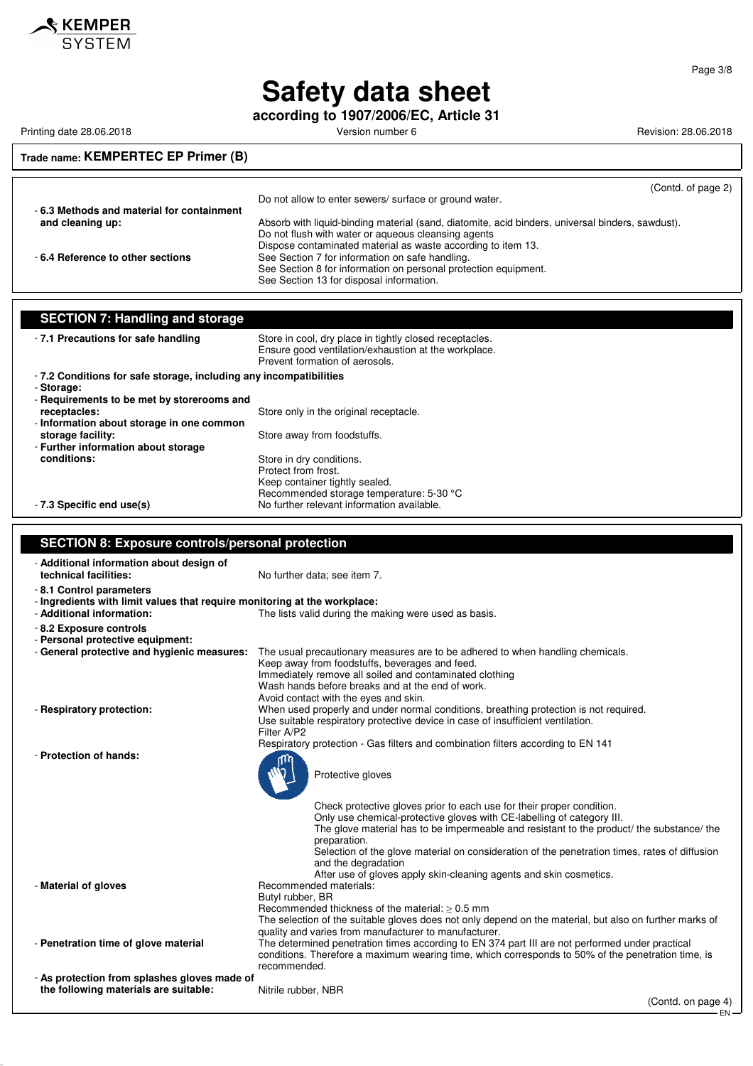

**according to 1907/2006/EC, Article 31**

Printing date 28.06.2018 **Printing date 28.06.2018** Version number 6 **Revision: 28.06.2018** Revision: 28.06.2018

#### **Trade name: KEMPERTEC EP Primer (B)**

| - 6.3 Methods and material for containment | (Contd. of page 2)<br>Do not allow to enter sewers/ surface or ground water.                                |
|--------------------------------------------|-------------------------------------------------------------------------------------------------------------|
| and cleaning up:                           | Absorb with liquid-binding material (sand, diatomite, acid binders, universal binders, sawdust).            |
|                                            | Do not flush with water or aqueous cleansing agents                                                         |
|                                            | Dispose contaminated material as waste according to item 13.                                                |
| -6.4 Reference to other sections           | See Section 7 for information on safe handling.                                                             |
|                                            | See Section 8 for information on personal protection equipment.<br>See Section 13 for disposal information. |

| <b>SECTION 7: Handling and storage</b>                            |                                                                                                                                                   |
|-------------------------------------------------------------------|---------------------------------------------------------------------------------------------------------------------------------------------------|
| -7.1 Precautions for safe handling                                | Store in cool, dry place in tightly closed receptacles.<br>Ensure good ventilation/exhaustion at the workplace.<br>Prevent formation of aerosols. |
| -7.2 Conditions for safe storage, including any incompatibilities |                                                                                                                                                   |
| - Storage:                                                        |                                                                                                                                                   |
| - Requirements to be met by storerooms and                        |                                                                                                                                                   |
| receptacles:                                                      | Store only in the original receptacle.                                                                                                            |
| - Information about storage in one common                         |                                                                                                                                                   |
| storage facility:                                                 | Store away from foodstuffs.                                                                                                                       |
| - Further information about storage                               |                                                                                                                                                   |
| conditions:                                                       | Store in dry conditions.                                                                                                                          |
|                                                                   | Protect from frost.                                                                                                                               |
|                                                                   | Keep container tightly sealed.                                                                                                                    |
|                                                                   | Recommended storage temperature: 5-30 °C                                                                                                          |
| - 7.3 Specific end use(s)                                         | No further relevant information available.                                                                                                        |

#### **SECTION 8: Exposure controls/personal protection** - **Additional information about design of** No further data; see item 7. - **8.1 Control parameters** - **Ingredients with limit values that require monitoring at the workplace:** The lists valid during the making were used as basis. - **8.2 Exposure controls** - **Personal protective equipment:** - **General protective and hygienic measures:** The usual precautionary measures are to be adhered to when handling chemicals. Keep away from foodstuffs, beverages and feed. Immediately remove all soiled and contaminated clothing Wash hands before breaks and at the end of work. Avoid contact with the eyes and skin. - **Respiratory protection:** When used properly and under normal conditions, breathing protection is not required. Use suitable respiratory protective device in case of insufficient ventilation. Filter A/P2 Respiratory protection - Gas filters and combination filters according to EN 141 - **Protection of hands:** Protective gloves Check protective gloves prior to each use for their proper condition. Only use chemical-protective gloves with CE-labelling of category III. The glove material has to be impermeable and resistant to the product/ the substance/ the preparation. Selection of the glove material on consideration of the penetration times, rates of diffusion and the degradation After use of gloves apply skin-cleaning agents and skin cosmetics. - **Material of gloves** Recommended materials: Butyl rubber, BR Recommended thickness of the material:  $\geq 0.5$  mm The selection of the suitable gloves does not only depend on the material, but also on further marks of quality and varies from manufacturer to manufacturer. - **Penetration time of glove material** The determined penetration times according to EN 374 part III are not performed under practical conditions. Therefore a maximum wearing time, which corresponds to 50% of the penetration time, is recommended. - **As protection from splashes gloves made of the following materials are suitable:** Nitrile rubber, NBR

EN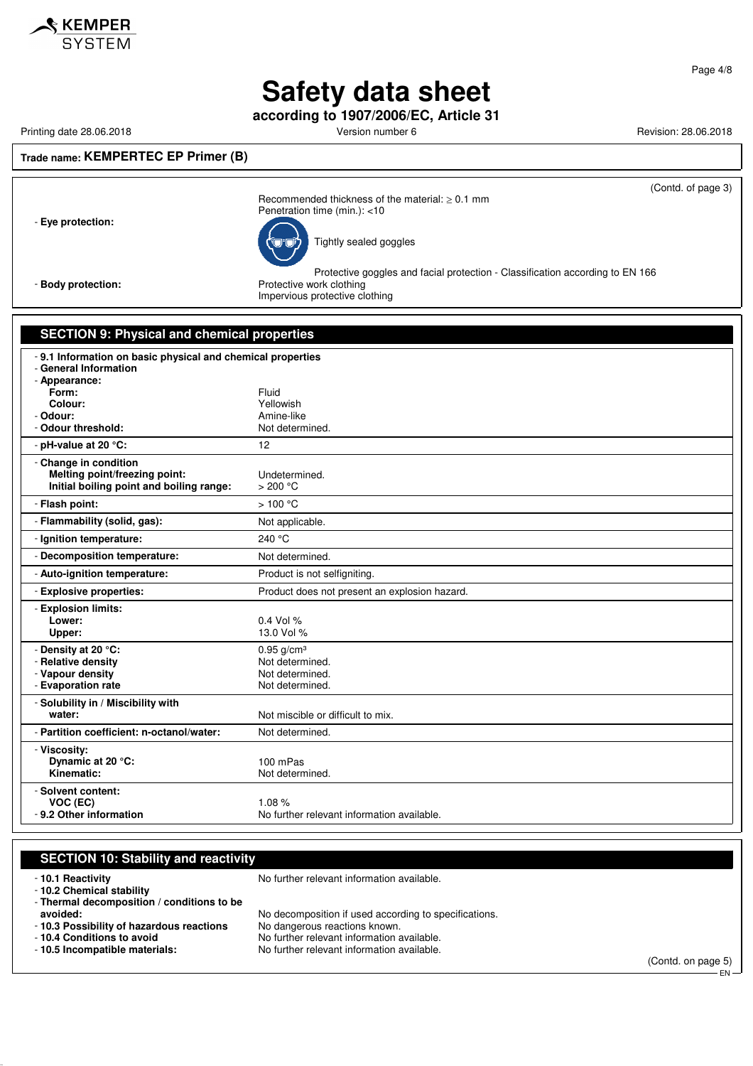

**according to 1907/2006/EC, Article 31**

Printing date 28.06.2018 **Printing date 28.06.2018** Version number 6 Revision: 28.06.2018

**Trade name: KEMPERTEC EP Primer (B)**

| $i$ liautilialilit. INLIVII LIIILLO LI TIIIIINI (D)                       |                                                                                                                                             |
|---------------------------------------------------------------------------|---------------------------------------------------------------------------------------------------------------------------------------------|
|                                                                           | (Contd. of page 3)                                                                                                                          |
| - Eye protection:                                                         | Recommended thickness of the material: $> 0.1$ mm<br>Penetration time (min.): <10                                                           |
|                                                                           | Tightly sealed goggles                                                                                                                      |
| - Body protection:                                                        | Protective goggles and facial protection - Classification according to EN 166<br>Protective work clothing<br>Impervious protective clothing |
|                                                                           |                                                                                                                                             |
| <b>SECTION 9: Physical and chemical properties</b>                        |                                                                                                                                             |
| - 9.1 Information on basic physical and chemical properties               |                                                                                                                                             |
| - General Information                                                     |                                                                                                                                             |
| - Appearance:                                                             |                                                                                                                                             |
| Form:<br>Colour:                                                          | Fluid<br>Yellowish                                                                                                                          |
| - Odour:                                                                  | Amine-like                                                                                                                                  |
| - Odour threshold:                                                        | Not determined.                                                                                                                             |
| - pH-value at 20 °C:                                                      | 12                                                                                                                                          |
| - Change in condition                                                     |                                                                                                                                             |
| Melting point/freezing point:<br>Initial boiling point and boiling range: | Undetermined.<br>>200 °C                                                                                                                    |
| - Flash point:                                                            | >100 °C                                                                                                                                     |
| - Flammability (solid, gas):                                              | Not applicable.                                                                                                                             |
| - Ignition temperature:                                                   | 240 °C                                                                                                                                      |
| - Decomposition temperature:                                              | Not determined.                                                                                                                             |
| - Auto-ignition temperature:                                              | Product is not selfigniting.                                                                                                                |
| - Explosive properties:                                                   | Product does not present an explosion hazard.                                                                                               |
| - Explosion limits:                                                       |                                                                                                                                             |
| Lower:                                                                    | 0.4 Vol %                                                                                                                                   |
| Upper:                                                                    | 13.0 Vol %                                                                                                                                  |
| - Density at 20 °C:                                                       | $0.95$ g/cm <sup>3</sup>                                                                                                                    |
| - Relative density<br>- Vapour density                                    | Not determined.<br>Not determined.                                                                                                          |
| - Evaporation rate                                                        | Not determined.                                                                                                                             |
| - Solubility in / Miscibility with                                        |                                                                                                                                             |
| water:                                                                    | Not miscible or difficult to mix.                                                                                                           |
| - Partition coefficient: n-octanol/water:                                 | Not determined.                                                                                                                             |
| - Viscosity:                                                              |                                                                                                                                             |
| Dynamic at 20 °C:                                                         | 100 mPas                                                                                                                                    |
| Kinematic:                                                                | Not determined.                                                                                                                             |
| - Solvent content:                                                        |                                                                                                                                             |
| VOC (EC)                                                                  | 1.08%<br>No further relevant information available.                                                                                         |
| - 9.2 Other information                                                   |                                                                                                                                             |

| - 10.1 Reactivity                          | No further relevant information available.            |                    |
|--------------------------------------------|-------------------------------------------------------|--------------------|
| - 10.2 Chemical stability                  |                                                       |                    |
| - Thermal decomposition / conditions to be |                                                       |                    |
| avoided:                                   | No decomposition if used according to specifications. |                    |
| - 10.3 Possibility of hazardous reactions  | No dangerous reactions known.                         |                    |
| - 10.4 Conditions to avoid                 | No further relevant information available.            |                    |
| -10.5 Incompatible materials:              | No further relevant information available.            |                    |
|                                            |                                                       | (Contd. on page 5) |



KEMPER **SYSTEM**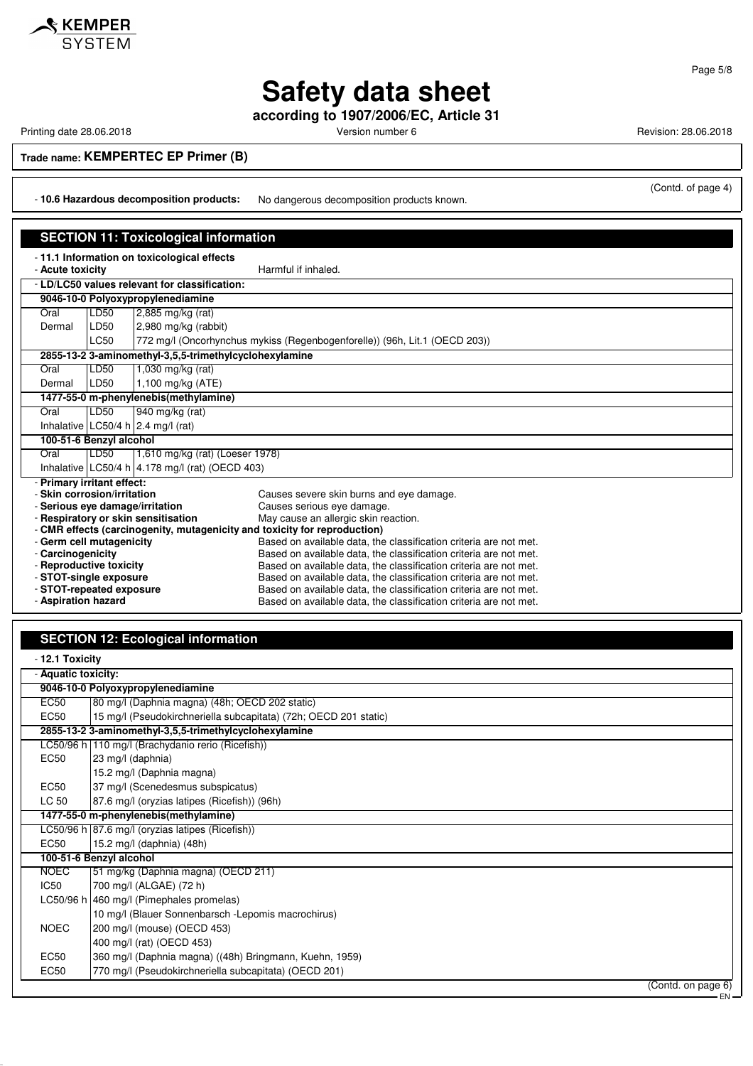

**according to 1907/2006/EC, Article 31**

Printing date 28.06.2018 **Printing date 28.06.2018** Version number 6 Revision: 28.06.2018

**Trade name: KEMPERTEC EP Primer (B)**

- **10.6 Hazardous decomposition products:** No dangerous decomposition products known.

(Contd. of page 4)

| <b>SECTION 11: Toxicological information</b>                                           |                                     |                                                                                                                                                                                                                                                                                                                                                                                                                                                                                    |  |  |
|----------------------------------------------------------------------------------------|-------------------------------------|------------------------------------------------------------------------------------------------------------------------------------------------------------------------------------------------------------------------------------------------------------------------------------------------------------------------------------------------------------------------------------------------------------------------------------------------------------------------------------|--|--|
| - 11.1 Information on toxicological effects<br>- Acute toxicity<br>Harmful if inhaled. |                                     |                                                                                                                                                                                                                                                                                                                                                                                                                                                                                    |  |  |
|                                                                                        |                                     |                                                                                                                                                                                                                                                                                                                                                                                                                                                                                    |  |  |
|                                                                                        |                                     |                                                                                                                                                                                                                                                                                                                                                                                                                                                                                    |  |  |
|                                                                                        |                                     |                                                                                                                                                                                                                                                                                                                                                                                                                                                                                    |  |  |
|                                                                                        |                                     |                                                                                                                                                                                                                                                                                                                                                                                                                                                                                    |  |  |
|                                                                                        |                                     | 772 mg/l (Oncorhynchus mykiss (Regenbogenforelle)) (96h, Lit.1 (OECD 203))                                                                                                                                                                                                                                                                                                                                                                                                         |  |  |
|                                                                                        |                                     |                                                                                                                                                                                                                                                                                                                                                                                                                                                                                    |  |  |
|                                                                                        |                                     |                                                                                                                                                                                                                                                                                                                                                                                                                                                                                    |  |  |
| LD50                                                                                   |                                     |                                                                                                                                                                                                                                                                                                                                                                                                                                                                                    |  |  |
|                                                                                        |                                     |                                                                                                                                                                                                                                                                                                                                                                                                                                                                                    |  |  |
| LD50                                                                                   |                                     |                                                                                                                                                                                                                                                                                                                                                                                                                                                                                    |  |  |
| Oral<br>Inhalative $LC50/4 h$ 2.4 mg/l (rat)                                           |                                     |                                                                                                                                                                                                                                                                                                                                                                                                                                                                                    |  |  |
|                                                                                        |                                     |                                                                                                                                                                                                                                                                                                                                                                                                                                                                                    |  |  |
| LD50                                                                                   |                                     |                                                                                                                                                                                                                                                                                                                                                                                                                                                                                    |  |  |
| Inhalative LC50/4 h $\vert$ 4.178 mg/l (rat) (OECD 403)                                |                                     |                                                                                                                                                                                                                                                                                                                                                                                                                                                                                    |  |  |
|                                                                                        |                                     |                                                                                                                                                                                                                                                                                                                                                                                                                                                                                    |  |  |
|                                                                                        |                                     | Causes severe skin burns and eye damage.                                                                                                                                                                                                                                                                                                                                                                                                                                           |  |  |
| - Serious eye damage/irritation                                                        |                                     | Causes serious eye damage.                                                                                                                                                                                                                                                                                                                                                                                                                                                         |  |  |
| - Respiratory or skin sensitisation                                                    |                                     | May cause an allergic skin reaction.                                                                                                                                                                                                                                                                                                                                                                                                                                               |  |  |
| - CMR effects (carcinogenity, mutagenicity and toxicity for reproduction)              |                                     |                                                                                                                                                                                                                                                                                                                                                                                                                                                                                    |  |  |
| - Germ cell mutagenicity                                                               |                                     | Based on available data, the classification criteria are not met.                                                                                                                                                                                                                                                                                                                                                                                                                  |  |  |
| - Carcinogenicity                                                                      |                                     | Based on available data, the classification criteria are not met.                                                                                                                                                                                                                                                                                                                                                                                                                  |  |  |
| - Reproductive toxicity                                                                |                                     | Based on available data, the classification criteria are not met.<br>Based on available data, the classification criteria are not met.                                                                                                                                                                                                                                                                                                                                             |  |  |
|                                                                                        |                                     | Based on available data, the classification criteria are not met.                                                                                                                                                                                                                                                                                                                                                                                                                  |  |  |
| - Aspiration hazard                                                                    |                                     | Based on available data, the classification criteria are not met.                                                                                                                                                                                                                                                                                                                                                                                                                  |  |  |
|                                                                                        | LD50<br>LD50<br><b>LC50</b><br>LD50 | - LD/LC50 values relevant for classification:<br>9046-10-0 Polyoxypropylenediamine<br>$2,885$ mg/kg (rat)<br>2,980 mg/kg (rabbit)<br>2855-13-2 3-aminomethyl-3,5,5-trimethylcyclohexylamine<br>1,030 mg/kg (rat)<br>1,100 mg/kg (ATE)<br>1477-55-0 m-phenylenebis(methylamine)<br>940 mg/kg (rat)<br>100-51-6 Benzyl alcohol<br>1,610 mg/kg (rat) (Loeser 1978)<br>- Primary irritant effect:<br>- Skin corrosion/irritation<br>- STOT-single exposure<br>- STOT-repeated exposure |  |  |

### **SECTION 12: Ecological information**

| - 12.1 Toxicity     |                                                                  |        |
|---------------------|------------------------------------------------------------------|--------|
| - Aquatic toxicity: |                                                                  |        |
|                     | 9046-10-0 Polyoxypropylenediamine                                |        |
| <b>EC50</b>         | 80 mg/l (Daphnia magna) (48h; OECD 202 static)                   |        |
| EC <sub>50</sub>    | 15 mg/l (Pseudokirchneriella subcapitata) (72h; OECD 201 static) |        |
|                     | 2855-13-2 3-aminomethyl-3,5,5-trimethylcyclohexylamine           |        |
|                     | LC50/96 h   110 mg/l (Brachydanio rerio (Ricefish))              |        |
| EC50                | 23 mg/l (daphnia)                                                |        |
|                     | 15.2 mg/l (Daphnia magna)                                        |        |
| <b>EC50</b>         | 37 mg/l (Scenedesmus subspicatus)                                |        |
| LC 50               | 87.6 mg/l (oryzias latipes (Ricefish)) (96h)                     |        |
|                     | 1477-55-0 m-phenylenebis(methylamine)                            |        |
|                     | LC50/96 h 87.6 mg/l (oryzias latipes (Ricefish))                 |        |
| EC50                | 15.2 mg/l (daphnia) (48h)                                        |        |
|                     | 100-51-6 Benzyl alcohol                                          |        |
| <b>NOEC</b>         | 51 mg/kg (Daphnia magna) (OECD 211)                              |        |
| IC50                | 700 mg/l (ALGAE) (72 h)                                          |        |
|                     | LC50/96 h 460 mg/l (Pimephales promelas)                         |        |
|                     | 10 mg/l (Blauer Sonnenbarsch - Lepomis macrochirus)              |        |
| <b>NOEC</b>         | 200 mg/l (mouse) (OECD 453)                                      |        |
|                     | 400 mg/l (rat) (OECD 453)                                        |        |
| <b>EC50</b>         | 360 mg/l (Daphnia magna) ((48h) Bringmann, Kuehn, 1959)          |        |
| <b>EC50</b>         | 770 mg/l (Pseudokirchneriella subcapitata) (OECD 201)            |        |
|                     | (Contd. on page 6)                                               |        |
|                     |                                                                  | $EN -$ |



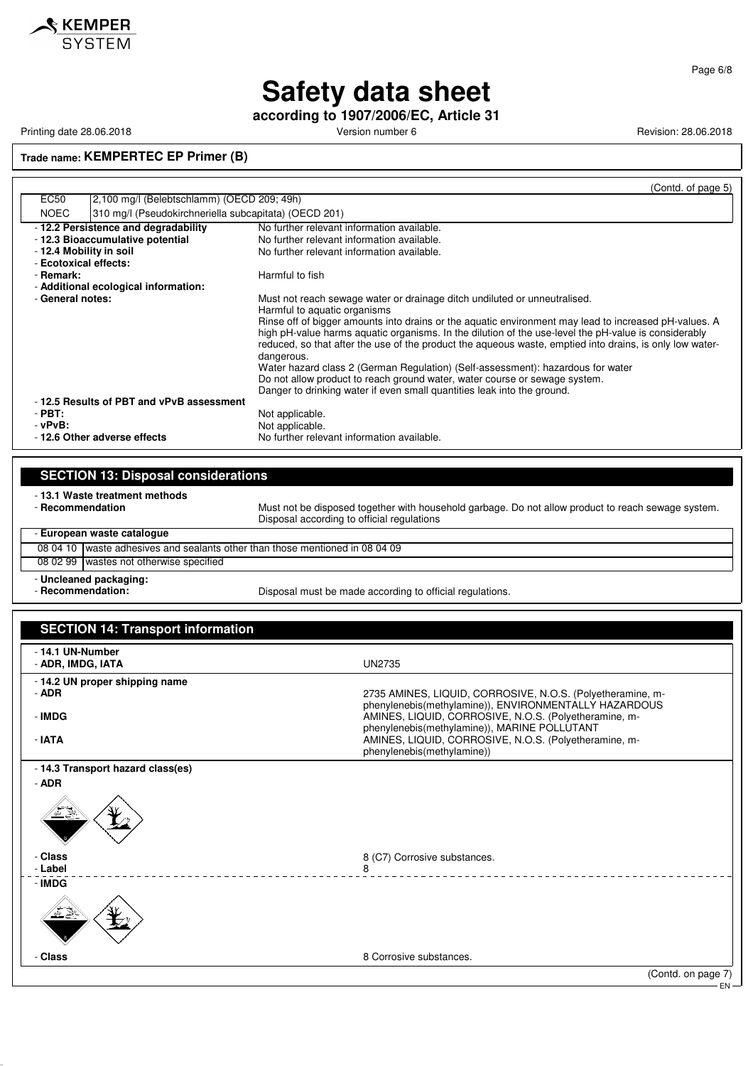

Page 6/8

# **Safety data sheet**

**according to 1907/2006/EC, Article 31**

Printing date 28.06.2018 **Printing date 28.06.2018** Version number 6 **Revision: 28.06.2018** Revision: 28.06.2018

**Trade name: KEMPERTEC EP Primer (B)**

|                                                                      | (Contd. of page 5)                                                                                                                                                                                                                                                                                                                                                                                                                                                                                                                                                                                                                                                                               |
|----------------------------------------------------------------------|--------------------------------------------------------------------------------------------------------------------------------------------------------------------------------------------------------------------------------------------------------------------------------------------------------------------------------------------------------------------------------------------------------------------------------------------------------------------------------------------------------------------------------------------------------------------------------------------------------------------------------------------------------------------------------------------------|
| <b>EC50</b><br>2,100 mg/l (Belebtschlamm) (OECD 209; 49h)            |                                                                                                                                                                                                                                                                                                                                                                                                                                                                                                                                                                                                                                                                                                  |
| 310 mg/l (Pseudokirchneriella subcapitata) (OECD 201)<br><b>NOEC</b> |                                                                                                                                                                                                                                                                                                                                                                                                                                                                                                                                                                                                                                                                                                  |
| -12.2 Persistence and degradability                                  | No further relevant information available.                                                                                                                                                                                                                                                                                                                                                                                                                                                                                                                                                                                                                                                       |
| - 12.3 Bioaccumulative potential                                     | No further relevant information available.                                                                                                                                                                                                                                                                                                                                                                                                                                                                                                                                                                                                                                                       |
| - 12.4 Mobility in soil                                              | No further relevant information available.                                                                                                                                                                                                                                                                                                                                                                                                                                                                                                                                                                                                                                                       |
| - Ecotoxical effects:                                                |                                                                                                                                                                                                                                                                                                                                                                                                                                                                                                                                                                                                                                                                                                  |
| - Remark:                                                            | Harmful to fish                                                                                                                                                                                                                                                                                                                                                                                                                                                                                                                                                                                                                                                                                  |
| - Additional ecological information:                                 |                                                                                                                                                                                                                                                                                                                                                                                                                                                                                                                                                                                                                                                                                                  |
| - General notes:                                                     | Must not reach sewage water or drainage ditch undiluted or unneutralised.<br>Harmful to aquatic organisms<br>Rinse off of bigger amounts into drains or the aquatic environment may lead to increased pH-values. A<br>high pH-value harms aguatic organisms. In the dilution of the use-level the pH-value is considerably<br>reduced, so that after the use of the product the agueous waste, emptied into drains, is only low water-<br>dangerous.<br>Water hazard class 2 (German Regulation) (Self-assessment): hazardous for water<br>Do not allow product to reach ground water, water course or sewage system.<br>Danger to drinking water if even small quantities leak into the ground. |
| -12.5 Results of PBT and vPvB assessment                             |                                                                                                                                                                                                                                                                                                                                                                                                                                                                                                                                                                                                                                                                                                  |
| $-$ PBT:                                                             | Not applicable.                                                                                                                                                                                                                                                                                                                                                                                                                                                                                                                                                                                                                                                                                  |
| - vPvB:                                                              | Not applicable.                                                                                                                                                                                                                                                                                                                                                                                                                                                                                                                                                                                                                                                                                  |
| - 12.6 Other adverse effects                                         | No further relevant information available.                                                                                                                                                                                                                                                                                                                                                                                                                                                                                                                                                                                                                                                       |
|                                                                      |                                                                                                                                                                                                                                                                                                                                                                                                                                                                                                                                                                                                                                                                                                  |

### **SECTION 13: Disposal considerations**

- **13.1 Waste treatment methods**

Must not be disposed together with household garbage. Do not allow product to reach sewage system. Disposal according to official regulations

| - European waste catalogue |                                                                                    |  |  |
|----------------------------|------------------------------------------------------------------------------------|--|--|
|                            | 08 04 10 waste adhesives and sealants other than those mentioned in 08 04 09       |  |  |
|                            | 08 02 99 wastes not otherwise specified                                            |  |  |
| - Recommendation:          | - Uncleaned packaging:<br>Disposal must be made according to official regulations. |  |  |

| <b>SECTION 14: Transport information</b> |                                                                                                                                                                |
|------------------------------------------|----------------------------------------------------------------------------------------------------------------------------------------------------------------|
| - 14.1 UN-Number<br>- ADR, IMDG, IATA    | <b>UN2735</b>                                                                                                                                                  |
| - 14.2 UN proper shipping name<br>- ADR  | 2735 AMINES, LIQUID, CORROSIVE, N.O.S. (Polyetheramine, m-<br>phenylenebis(methylamine)), ENVIRONMENTALLY HAZARDOUS                                            |
| - IMDG<br>- IATA                         | AMINES, LIQUID, CORROSIVE, N.O.S. (Polyetheramine, m-<br>phenylenebis(methylamine)), MARINE POLLUTANT<br>AMINES, LIQUID, CORROSIVE, N.O.S. (Polyetheramine, m- |
| - 14.3 Transport hazard class(es)        | phenylenebis(methylamine))                                                                                                                                     |
| $-$ ADR<br>بخ <u>ے عند</u>               |                                                                                                                                                                |
| - Class<br>- Label                       | 8 (C7) Corrosive substances.<br>8                                                                                                                              |
| - IMDG                                   | <u>.</u>                                                                                                                                                       |
|                                          |                                                                                                                                                                |
| - Class                                  | 8 Corrosive substances.                                                                                                                                        |
|                                          | (Contd. on page 7)                                                                                                                                             |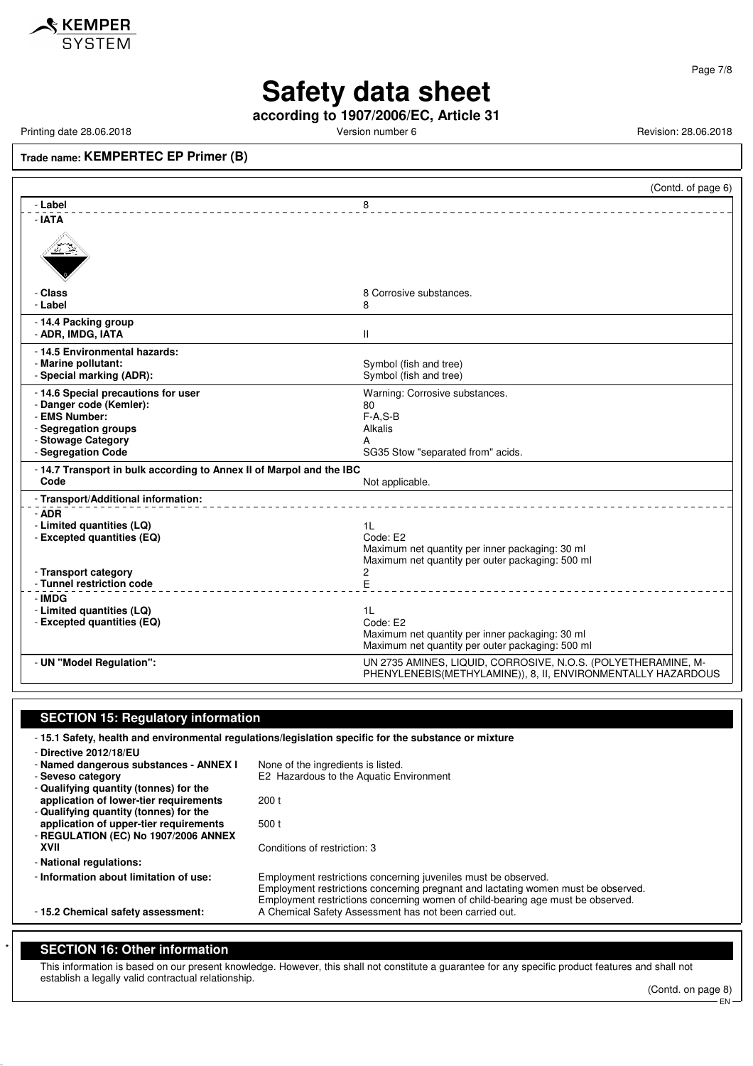

**according to 1907/2006/EC, Article 31**

Printing date 28.06.2018 **Printing date 28.06.2018** Version number 6 **Revision: 28.06.2018** Revision: 28.06.2018

**Trade name: KEMPERTEC EP Primer (B)**

|                                                                              | (Contd. of page 6)                                                                                                            |
|------------------------------------------------------------------------------|-------------------------------------------------------------------------------------------------------------------------------|
| - Label                                                                      | 8                                                                                                                             |
| $-IATA$                                                                      |                                                                                                                               |
|                                                                              |                                                                                                                               |
| - Class                                                                      | 8 Corrosive substances.                                                                                                       |
| - Label                                                                      | 8                                                                                                                             |
| - 14.4 Packing group                                                         |                                                                                                                               |
| - ADR, IMDG, IATA                                                            | $\mathbf{H}$                                                                                                                  |
| - 14.5 Environmental hazards:                                                |                                                                                                                               |
| - Marine pollutant:                                                          | Symbol (fish and tree)                                                                                                        |
| - Special marking (ADR):                                                     | Symbol (fish and tree)                                                                                                        |
| - 14.6 Special precautions for user                                          | Warning: Corrosive substances.                                                                                                |
| - Danger code (Kemler):                                                      | 80                                                                                                                            |
| - EMS Number:                                                                | $F-A.S-B$                                                                                                                     |
| - Segregation groups                                                         | Alkalis                                                                                                                       |
| - Stowage Category                                                           | A                                                                                                                             |
| - Segregation Code                                                           | SG35 Stow "separated from" acids.                                                                                             |
| - 14.7 Transport in bulk according to Annex II of Marpol and the IBC<br>Code | Not applicable.                                                                                                               |
| - Transport/Additional information:                                          |                                                                                                                               |
| - ADR                                                                        |                                                                                                                               |
| - Limited quantities (LQ)                                                    | 1 <sub>L</sub>                                                                                                                |
| - Excepted quantities (EQ)                                                   | Code: E2                                                                                                                      |
|                                                                              | Maximum net quantity per inner packaging: 30 ml                                                                               |
|                                                                              | Maximum net quantity per outer packaging: 500 ml                                                                              |
| - Transport category                                                         | 2                                                                                                                             |
| - Tunnel restriction code                                                    | E                                                                                                                             |
| - IMDG                                                                       |                                                                                                                               |
| - Limited quantities (LQ)                                                    | 1 <sup>L</sup>                                                                                                                |
| - Excepted quantities (EQ)                                                   | Code: E2                                                                                                                      |
|                                                                              | Maximum net quantity per inner packaging: 30 ml                                                                               |
|                                                                              | Maximum net quantity per outer packaging: 500 ml                                                                              |
| - UN "Model Regulation":                                                     | UN 2735 AMINES, LIQUID, CORROSIVE, N.O.S. (POLYETHERAMINE, M-<br>PHENYLENEBIS(METHYLAMINE)), 8, II, ENVIRONMENTALLY HAZARDOUS |
|                                                                              |                                                                                                                               |

#### **SECTION 15: Regulatory information**

- **15.1 Safety, health and environmental regulations/legislation specific for the substance or mixture**

| - Directive 2012/18/EU                 |                                                                                   |
|----------------------------------------|-----------------------------------------------------------------------------------|
| - Named dangerous substances - ANNEX I | None of the ingredients is listed.                                                |
| - Seveso category                      | E2 Hazardous to the Aquatic Environment                                           |
| - Qualifying quantity (tonnes) for the |                                                                                   |
| application of lower-tier requirements | 200t                                                                              |
| - Qualifying quantity (tonnes) for the |                                                                                   |
| application of upper-tier requirements | 500t                                                                              |
| - REGULATION (EC) No 1907/2006 ANNEX   |                                                                                   |
| XVII                                   | Conditions of restriction: 3                                                      |
| - National regulations:                |                                                                                   |
| - Information about limitation of use: | Employment restrictions concerning juveniles must be observed.                    |
|                                        | Employment restrictions concerning pregnant and lactating women must be observed. |
|                                        | Employment restrictions concerning women of child-bearing age must be observed.   |
| - 15.2 Chemical safety assessment:     | A Chemical Safety Assessment has not been carried out.                            |
|                                        |                                                                                   |

#### **SECTION 16: Other information**

This information is based on our present knowledge. However, this shall not constitute a guarantee for any specific product features and shall not establish a legally valid contractual relationship.